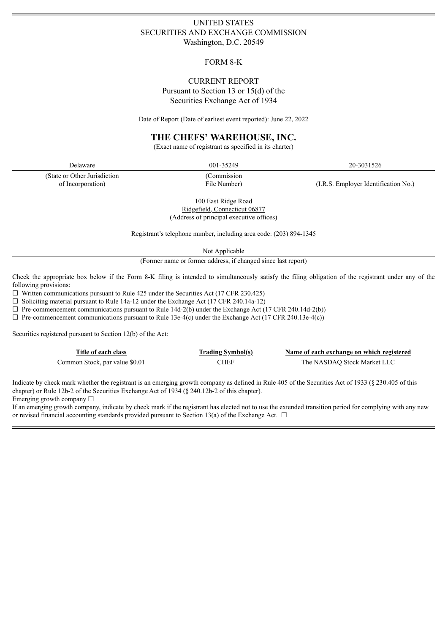# UNITED STATES SECURITIES AND EXCHANGE COMMISSION Washington, D.C. 20549

# FORM 8-K

# CURRENT REPORT Pursuant to Section 13 or 15(d) of the Securities Exchange Act of 1934

Date of Report (Date of earliest event reported): June 22, 2022

# **THE CHEFS' WAREHOUSE, INC.**

(Exact name of registrant as specified in its charter)

(State or Other Jurisdiction of Incorporation)

(Commission

Delaware 20-3031526 20-3031526

File Number) (I.R.S. Employer Identification No.)

100 East Ridge Road Ridgefield, Connecticut 06877 (Address of principal executive offices)

Registrant's telephone number, including area code: (203) 894-1345

Not Applicable

(Former name or former address, if changed since last report)

Check the appropriate box below if the Form 8-K filing is intended to simultaneously satisfy the filing obligation of the registrant under any of the following provisions:

 $\Box$  Written communications pursuant to Rule 425 under the Securities Act (17 CFR 230.425)

 $\Box$  Soliciting material pursuant to Rule 14a-12 under the Exchange Act (17 CFR 240.14a-12)

 $\Box$  Pre-commencement communications pursuant to Rule 14d-2(b) under the Exchange Act (17 CFR 240.14d-2(b))

 $\Box$  Pre-commencement communications pursuant to Rule 13e-4(c) under the Exchange Act (17 CFR 240.13e-4(c))

Securities registered pursuant to Section 12(b) of the Act:

| Title of each class            | <b>Trading Symbol(s)</b> | Name of each exchange on which registered |
|--------------------------------|--------------------------|-------------------------------------------|
| Common Stock, par value \$0.01 | <b>CHEF</b>              | The NASDAQ Stock Market LLC               |

Indicate by check mark whether the registrant is an emerging growth company as defined in Rule 405 of the Securities Act of 1933 (§ 230.405 of this chapter) or Rule 12b-2 of the Securities Exchange Act of 1934 (§ 240.12b-2 of this chapter).

Emerging growth company ☐

If an emerging growth company, indicate by check mark if the registrant has elected not to use the extended transition period for complying with any new or revised financial accounting standards provided pursuant to Section 13(a) of the Exchange Act.  $\Box$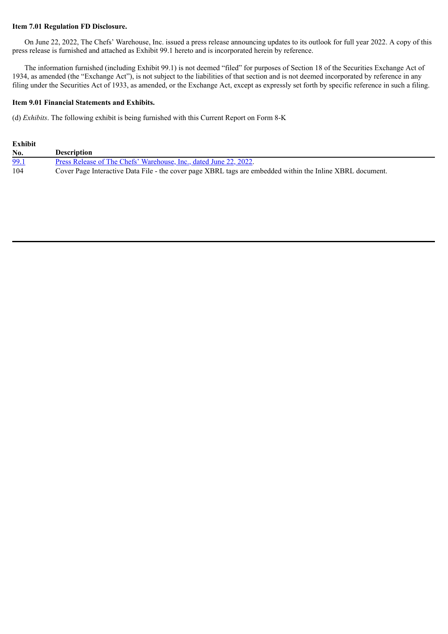### **Item 7.01 Regulation FD Disclosure.**

On June 22, 2022, The Chefs' Warehouse, Inc. issued a press release announcing updates to its outlook for full year 2022. A copy of this press release is furnished and attached as Exhibit 99.1 hereto and is incorporated herein by reference.

The information furnished (including Exhibit 99.1) is not deemed "filed" for purposes of Section 18 of the Securities Exchange Act of 1934, as amended (the "Exchange Act"), is not subject to the liabilities of that section and is not deemed incorporated by reference in any filing under the Securities Act of 1933, as amended, or the Exchange Act, except as expressly set forth by specific reference in such a filing.

### **Item 9.01 Financial Statements and Exhibits.**

(d) *Exhibits*. The following exhibit is being furnished with this Current Report on Form 8-K

| Exhibit |                                                                                                           |
|---------|-----------------------------------------------------------------------------------------------------------|
| No.     | <b>Description</b>                                                                                        |
| 99.1    | Press Release of The Chefs' Warehouse, Inc., dated June 22, 2022.                                         |
| 104     | Cover Page Interactive Data File - the cover page XBRL tags are embedded within the Inline XBRL document. |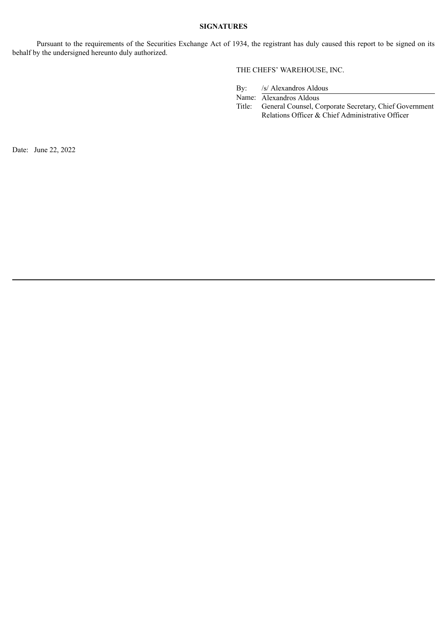#### **SIGNATURES**

Pursuant to the requirements of the Securities Exchange Act of 1934, the registrant has duly caused this report to be signed on its behalf by the undersigned hereunto duly authorized.

# THE CHEFS' WAREHOUSE, INC.

By: /s/ Alexandros Aldous

Name: Alexandros Aldous<br>Title: General Counsel, C General Counsel, Corporate Secretary, Chief Government Relations Officer & Chief Administrative Officer

Date: June 22, 2022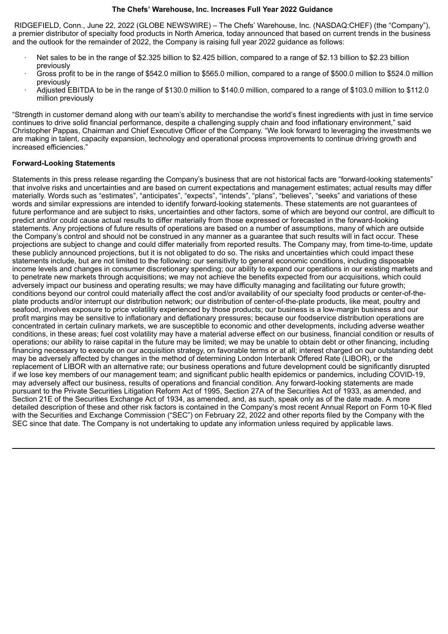### **The Chefs' Warehouse, Inc. Increases Full Year 2022 Guidance**

<span id="page-3-0"></span>RIDGEFIELD, Conn., June 22, 2022 (GLOBE NEWSWIRE) – The Chefs' Warehouse, Inc. (NASDAQ:CHEF) (the "Company"), a premier distributor of specialty food products in North America, today announced that based on current trends in the business and the outlook for the remainder of 2022, the Company is raising full year 2022 guidance as follows:

- Net sales to be in the range of \$2.325 billion to \$2.425 billion, compared to a range of \$2.13 billion to \$2.23 billion previously
- · Gross profit to be in the range of \$542.0 million to \$565.0 million, compared to a range of \$500.0 million to \$524.0 million previously
- · Adjusted EBITDA to be in the range of \$130.0 million to \$140.0 million, compared to a range of \$103.0 million to \$112.0 million previously

"Strength in customer demand along with our team's ability to merchandise the world's finest ingredients with just in time service continues to drive solid financial performance, despite a challenging supply chain and food inflationary environment," said Christopher Pappas, Chairman and Chief Executive Officer of the Company. "We look forward to leveraging the investments we are making in talent, capacity expansion, technology and operational process improvements to continue driving growth and increased efficiencies."

# **Forward-Looking Statements**

Statements in this press release regarding the Company's business that are not historical facts are "forward-looking statements" that involve risks and uncertainties and are based on current expectations and management estimates; actual results may differ materially. Words such as "estimates", "anticipates", "expects", "intends", "plans", "believes", "seeks" and variations of these words and similar expressions are intended to identify forward-looking statements. These statements are not guarantees of future performance and are subject to risks, uncertainties and other factors, some of which are beyond our control, are difficult to predict and/or could cause actual results to differ materially from those expressed or forecasted in the forward-looking statements. Any projections of future results of operations are based on a number of assumptions, many of which are outside the Company's control and should not be construed in any manner as a guarantee that such results will in fact occur. These projections are subject to change and could differ materially from reported results. The Company may, from time-to-time, update these publicly announced projections, but it is not obligated to do so. The risks and uncertainties which could impact these statements include, but are not limited to the following: our sensitivity to general economic conditions, including disposable income levels and changes in consumer discretionary spending; our ability to expand our operations in our existing markets and to penetrate new markets through acquisitions; we may not achieve the benefits expected from our acquisitions, which could adversely impact our business and operating results; we may have difficulty managing and facilitating our future growth; conditions beyond our control could materially affect the cost and/or availability of our specialty food products or center-of-theplate products and/or interrupt our distribution network; our distribution of center-of-the-plate products, like meat, poultry and seafood, involves exposure to price volatility experienced by those products; our business is a low-margin business and our profit margins may be sensitive to inflationary and deflationary pressures; because our foodservice distribution operations are concentrated in certain culinary markets, we are susceptible to economic and other developments, including adverse weather conditions, in these areas; fuel cost volatility may have a material adverse effect on our business, financial condition or results of operations; our ability to raise capital in the future may be limited; we may be unable to obtain debt or other financing, including financing necessary to execute on our acquisition strategy, on favorable terms or at all; interest charged on our outstanding debt may be adversely affected by changes in the method of determining London Interbank Offered Rate (LIBOR), or the replacement of LIBOR with an alternative rate; our business operations and future development could be significantly disrupted if we lose key members of our management team; and significant public health epidemics or pandemics, including COVID-19, may adversely affect our business, results of operations and financial condition. Any forward-looking statements are made pursuant to the Private Securities Litigation Reform Act of 1995, Section 27A of the Securities Act of 1933, as amended, and Section 21E of the Securities Exchange Act of 1934, as amended, and, as such, speak only as of the date made. A more detailed description of these and other risk factors is contained in the Company's most recent Annual Report on Form 10-K filed with the Securities and Exchange Commission ("SEC") on February 22, 2022 and other reports filed by the Company with the SEC since that date. The Company is not undertaking to update any information unless required by applicable laws.